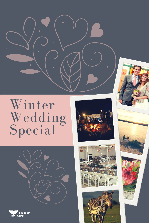

Winter Wedding Special